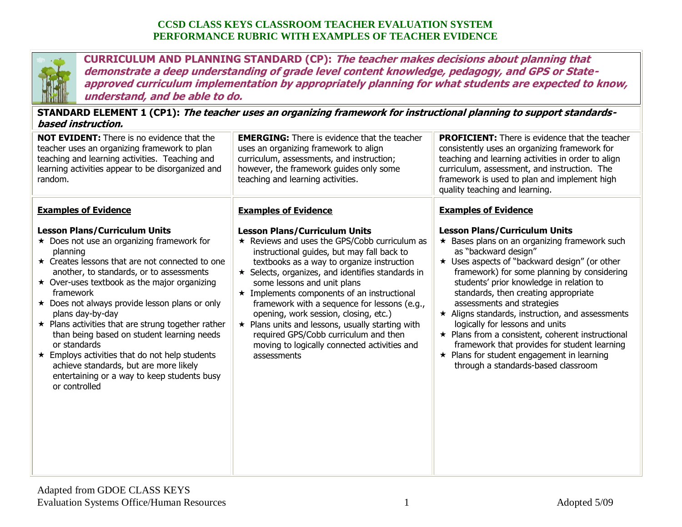

**CURRICULUM AND PLANNING STANDARD (CP): The teacher makes decisions about planning that demonstrate a deep understanding of grade level content knowledge, pedagogy, and GPS or Stateapproved curriculum implementation by appropriately planning for what students are expected to know, understand, and be able to do.**

**STANDARD ELEMENT 1 (CP1): The teacher uses an organizing framework for instructional planning to support standardsbased instruction.**

| <b>NOT EVIDENT:</b> There is no evidence that the<br>teacher uses an organizing framework to plan<br>teaching and learning activities. Teaching and<br>learning activities appear to be disorganized and<br>random.                                                                                                                                                                                                                                                                                                                                                                                                                                                           | <b>EMERGING:</b> There is evidence that the teacher<br>uses an organizing framework to align<br>curriculum, assessments, and instruction;<br>however, the framework guides only some<br>teaching and learning activities.                                                                                                                                                                                                                                                                                                                                                                                                        | <b>PROFICIENT:</b> There is evidence that the teacher<br>consistently uses an organizing framework for<br>teaching and learning activities in order to align<br>curriculum, assessment, and instruction. The<br>framework is used to plan and implement high<br>quality teaching and learning.                                                                                                                                                                                                                                                                                                                                                                    |
|-------------------------------------------------------------------------------------------------------------------------------------------------------------------------------------------------------------------------------------------------------------------------------------------------------------------------------------------------------------------------------------------------------------------------------------------------------------------------------------------------------------------------------------------------------------------------------------------------------------------------------------------------------------------------------|----------------------------------------------------------------------------------------------------------------------------------------------------------------------------------------------------------------------------------------------------------------------------------------------------------------------------------------------------------------------------------------------------------------------------------------------------------------------------------------------------------------------------------------------------------------------------------------------------------------------------------|-------------------------------------------------------------------------------------------------------------------------------------------------------------------------------------------------------------------------------------------------------------------------------------------------------------------------------------------------------------------------------------------------------------------------------------------------------------------------------------------------------------------------------------------------------------------------------------------------------------------------------------------------------------------|
| <b>Examples of Evidence</b><br><b>Lesson Plans/Curriculum Units</b><br>$\star$ Does not use an organizing framework for<br>planning<br>★ Creates lessons that are not connected to one<br>another, to standards, or to assessments<br>$\star$ Over-uses textbook as the major organizing<br>framework<br>$\star$ Does not always provide lesson plans or only<br>plans day-by-day<br>$\star$ Plans activities that are strung together rather<br>than being based on student learning needs<br>or standards<br>$\star$ Employs activities that do not help students<br>achieve standards, but are more likely<br>entertaining or a way to keep students busy<br>or controlled | <b>Examples of Evidence</b><br><b>Lesson Plans/Curriculum Units</b><br>$\star$ Reviews and uses the GPS/Cobb curriculum as<br>instructional guides, but may fall back to<br>textbooks as a way to organize instruction<br>$\star$ Selects, organizes, and identifies standards in<br>some lessons and unit plans<br>$\star$ Implements components of an instructional<br>framework with a sequence for lessons (e.g.,<br>opening, work session, closing, etc.)<br>$\star$ Plans units and lessons, usually starting with<br>required GPS/Cobb curriculum and then<br>moving to logically connected activities and<br>assessments | <b>Examples of Evidence</b><br><b>Lesson Plans/Curriculum Units</b><br>$\star$ Bases plans on an organizing framework such<br>as "backward design"<br>★ Uses aspects of "backward design" (or other<br>framework) for some planning by considering<br>students' prior knowledge in relation to<br>standards, then creating appropriate<br>assessments and strategies<br>$\star$ Aligns standards, instruction, and assessments<br>logically for lessons and units<br>★ Plans from a consistent, coherent instructional<br>framework that provides for student learning<br>$\star$ Plans for student engagement in learning<br>through a standards-based classroom |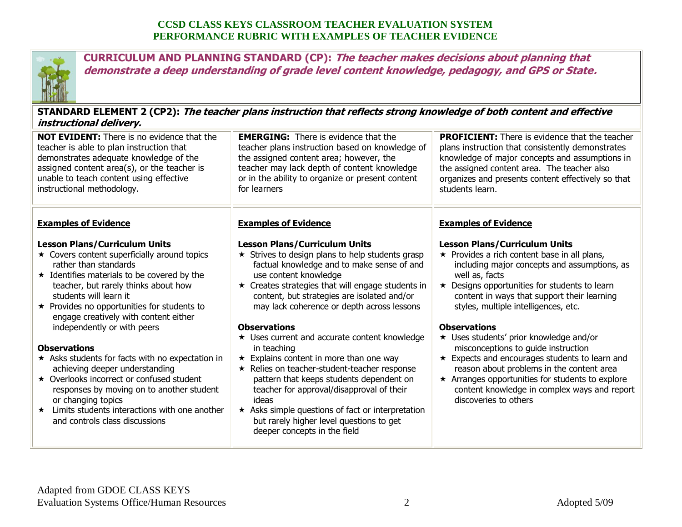

**CURRICULUM AND PLANNING STANDARD (CP): The teacher makes decisions about planning that demonstrate a deep understanding of grade level content knowledge, pedagogy, and GPS or State.**

**STANDARD ELEMENT 2 (CP2): The teacher plans instruction that reflects strong knowledge of both content and effective instructional delivery.**

| <b>NOT EVIDENT:</b> There is no evidence that the<br>teacher is able to plan instruction that<br>demonstrates adequate knowledge of the<br>assigned content area(s), or the teacher is<br>unable to teach content using effective<br>instructional methodology.                                                                                                                                                                                                                                                                                                                                                                                                                                 | <b>EMERGING:</b> There is evidence that the<br>teacher plans instruction based on knowledge of<br>the assigned content area; however, the<br>teacher may lack depth of content knowledge<br>or in the ability to organize or present content<br>for learners                                                                                                                                                                                                                                                                                                                                                                                                                                                      | <b>PROFICIENT:</b> There is evidence that the teacher<br>plans instruction that consistently demonstrates<br>knowledge of major concepts and assumptions in<br>the assigned content area. The teacher also<br>organizes and presents content effectively so that<br>students learn.                                                                                                                                                                                                                                                                                                                                                                                               |
|-------------------------------------------------------------------------------------------------------------------------------------------------------------------------------------------------------------------------------------------------------------------------------------------------------------------------------------------------------------------------------------------------------------------------------------------------------------------------------------------------------------------------------------------------------------------------------------------------------------------------------------------------------------------------------------------------|-------------------------------------------------------------------------------------------------------------------------------------------------------------------------------------------------------------------------------------------------------------------------------------------------------------------------------------------------------------------------------------------------------------------------------------------------------------------------------------------------------------------------------------------------------------------------------------------------------------------------------------------------------------------------------------------------------------------|-----------------------------------------------------------------------------------------------------------------------------------------------------------------------------------------------------------------------------------------------------------------------------------------------------------------------------------------------------------------------------------------------------------------------------------------------------------------------------------------------------------------------------------------------------------------------------------------------------------------------------------------------------------------------------------|
| <b>Examples of Evidence</b><br><b>Lesson Plans/Curriculum Units</b><br>$\star$ Covers content superficially around topics<br>rather than standards<br>$\star$ Identifies materials to be covered by the<br>teacher, but rarely thinks about how<br>students will learn it<br>$\star$ Provides no opportunities for students to<br>engage creatively with content either<br>independently or with peers<br><b>Observations</b><br>* Asks students for facts with no expectation in<br>achieving deeper understanding<br>★ Overlooks incorrect or confused student<br>responses by moving on to another student<br>or changing topics<br>Limits students interactions with one another<br>$\star$ | <b>Examples of Evidence</b><br><b>Lesson Plans/Curriculum Units</b><br>$\star$ Strives to design plans to help students grasp<br>factual knowledge and to make sense of and<br>use content knowledge<br>$\star$ Creates strategies that will engage students in<br>content, but strategies are isolated and/or<br>may lack coherence or depth across lessons<br><b>Observations</b><br>★ Uses current and accurate content knowledge<br>in teaching<br>$\star$ Explains content in more than one way<br>* Relies on teacher-student-teacher response<br>pattern that keeps students dependent on<br>teacher for approval/disapproval of their<br>ideas<br>$\star$ Asks simple questions of fact or interpretation | <b>Examples of Evidence</b><br><b>Lesson Plans/Curriculum Units</b><br>★ Provides a rich content base in all plans,<br>including major concepts and assumptions, as<br>well as, facts<br>$\star$ Designs opportunities for students to learn<br>content in ways that support their learning<br>styles, multiple intelligences, etc.<br><b>Observations</b><br>★ Uses students' prior knowledge and/or<br>misconceptions to guide instruction<br>Expects and encourages students to learn and<br>$\star$<br>reason about problems in the content area<br>★ Arranges opportunities for students to explore<br>content knowledge in complex ways and report<br>discoveries to others |
| and controls class discussions                                                                                                                                                                                                                                                                                                                                                                                                                                                                                                                                                                                                                                                                  | but rarely higher level questions to get<br>deeper concepts in the field                                                                                                                                                                                                                                                                                                                                                                                                                                                                                                                                                                                                                                          |                                                                                                                                                                                                                                                                                                                                                                                                                                                                                                                                                                                                                                                                                   |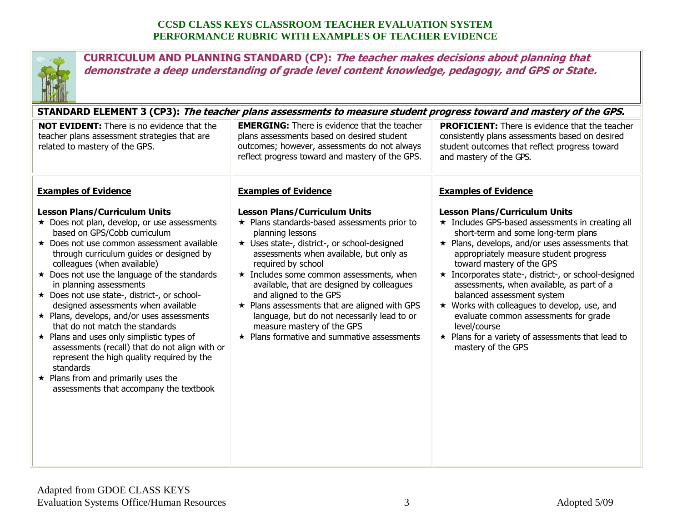

**CURRICULUM AND PLANNING STANDARD (CP): The teacher makes decisions about planning that demonstrate a deep understanding of grade level content knowledge, pedagogy, and GPS or State.**

**STANDARD ELEMENT 3 (CP3): The teacher plans assessments to measure student progress toward and mastery of the GPS.** 

| <b>NOT EVIDENT:</b> There is no evidence that the<br>teacher plans assessment strategies that are<br>related to mastery of the GPS.                                                                                                                                                                                                                                                                                                                                                                                                                                                                                                                                                                                                                                  | <b>EMERGING:</b> There is evidence that the teacher<br>plans assessments based on desired student<br>outcomes; however, assessments do not always<br>reflect progress toward and mastery of the GPS.                                                                                                                                                                                                                                                                                                                                               | <b>PROFICIENT:</b> There is evidence that the teacher<br>consistently plans assessments based on desired<br>student outcomes that reflect progress toward<br>and mastery of the GPS.                                                                                                                                                                                                                                                                                                                                                                                                               |
|----------------------------------------------------------------------------------------------------------------------------------------------------------------------------------------------------------------------------------------------------------------------------------------------------------------------------------------------------------------------------------------------------------------------------------------------------------------------------------------------------------------------------------------------------------------------------------------------------------------------------------------------------------------------------------------------------------------------------------------------------------------------|----------------------------------------------------------------------------------------------------------------------------------------------------------------------------------------------------------------------------------------------------------------------------------------------------------------------------------------------------------------------------------------------------------------------------------------------------------------------------------------------------------------------------------------------------|----------------------------------------------------------------------------------------------------------------------------------------------------------------------------------------------------------------------------------------------------------------------------------------------------------------------------------------------------------------------------------------------------------------------------------------------------------------------------------------------------------------------------------------------------------------------------------------------------|
| <b>Examples of Evidence</b>                                                                                                                                                                                                                                                                                                                                                                                                                                                                                                                                                                                                                                                                                                                                          | <b>Examples of Evidence</b>                                                                                                                                                                                                                                                                                                                                                                                                                                                                                                                        | <b>Examples of Evidence</b>                                                                                                                                                                                                                                                                                                                                                                                                                                                                                                                                                                        |
| <b>Lesson Plans/Curriculum Units</b><br>★ Does not plan, develop, or use assessments<br>based on GPS/Cobb curriculum<br>★ Does not use common assessment available<br>through curriculum guides or designed by<br>colleagues (when available)<br>$\star$ Does not use the language of the standards<br>in planning assessments<br>★ Does not use state-, district-, or school-<br>designed assessments when available<br>$\star$ Plans, develops, and/or uses assessments<br>that do not match the standards<br>$\star$ Plans and uses only simplistic types of<br>assessments (recall) that do not align with or<br>represent the high quality required by the<br>standards<br>$\star$ Plans from and primarily uses the<br>assessments that accompany the textbook | <b>Lesson Plans/Curriculum Units</b><br>$\star$ Plans standards-based assessments prior to<br>planning lessons<br>★ Uses state-, district-, or school-designed<br>assessments when available, but only as<br>required by school<br>$\star$ Includes some common assessments, when<br>available, that are designed by colleagues<br>and aligned to the GPS<br>$\star$ Plans assessments that are aligned with GPS<br>language, but do not necessarily lead to or<br>measure mastery of the GPS<br>$\star$ Plans formative and summative assessments | <b>Lesson Plans/Curriculum Units</b><br>* Includes GPS-based assessments in creating all<br>short-term and some long-term plans<br>$\star$ Plans, develops, and/or uses assessments that<br>appropriately measure student progress<br>toward mastery of the GPS<br>* Incorporates state-, district-, or school-designed<br>assessments, when available, as part of a<br>balanced assessment system<br>$\star$ Works with colleagues to develop, use, and<br>evaluate common assessments for grade<br>level/course<br>$\star$ Plans for a variety of assessments that lead to<br>mastery of the GPS |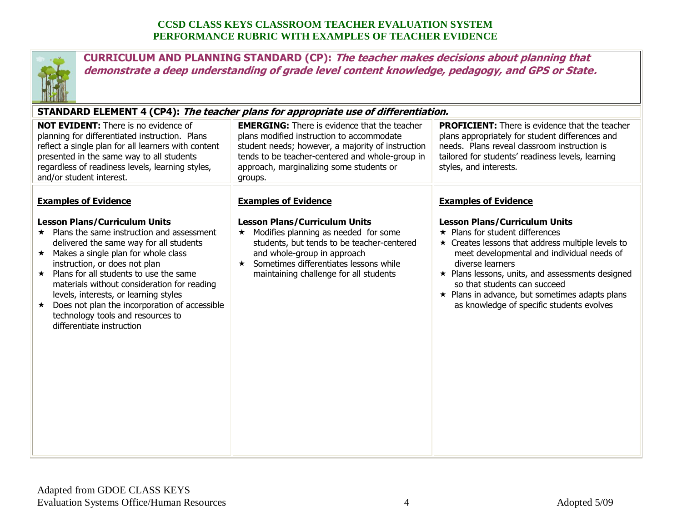

**CURRICULUM AND PLANNING STANDARD (CP): The teacher makes decisions about planning that demonstrate a deep understanding of grade level content knowledge, pedagogy, and GPS or State.**

# **STANDARD ELEMENT 4 (CP4): The teacher plans for appropriate use of differentiation.**

| <b>NOT EVIDENT:</b> There is no evidence of<br>planning for differentiated instruction. Plans<br>reflect a single plan for all learners with content<br>presented in the same way to all students<br>regardless of readiness levels, learning styles,<br>and/or student interest.                                                                                                                                                                                                                                           | <b>EMERGING:</b> There is evidence that the teacher<br>plans modified instruction to accommodate<br>student needs; however, a majority of instruction<br>tends to be teacher-centered and whole-group in<br>approach, marginalizing some students or<br>groups.                                    | <b>PROFICIENT:</b> There is evidence that the teacher<br>plans appropriately for student differences and<br>needs. Plans reveal classroom instruction is<br>tailored for students' readiness levels, learning<br>styles, and interests.                                                                                                                                                                                                  |
|-----------------------------------------------------------------------------------------------------------------------------------------------------------------------------------------------------------------------------------------------------------------------------------------------------------------------------------------------------------------------------------------------------------------------------------------------------------------------------------------------------------------------------|----------------------------------------------------------------------------------------------------------------------------------------------------------------------------------------------------------------------------------------------------------------------------------------------------|------------------------------------------------------------------------------------------------------------------------------------------------------------------------------------------------------------------------------------------------------------------------------------------------------------------------------------------------------------------------------------------------------------------------------------------|
| <b>Examples of Evidence</b><br><b>Lesson Plans/Curriculum Units</b><br>$\star$ Plans the same instruction and assessment<br>delivered the same way for all students<br>$\star$ Makes a single plan for whole class<br>instruction, or does not plan<br>$\star$ Plans for all students to use the same<br>materials without consideration for reading<br>levels, interests, or learning styles<br>Does not plan the incorporation of accessible<br>$\star$<br>technology tools and resources to<br>differentiate instruction | <b>Examples of Evidence</b><br><b>Lesson Plans/Curriculum Units</b><br>Modifies planning as needed for some<br>$\star$<br>students, but tends to be teacher-centered<br>and whole-group in approach<br>Sometimes differentiates lessons while<br>$\star$<br>maintaining challenge for all students | <b>Examples of Evidence</b><br><b>Lesson Plans/Curriculum Units</b><br>$\star$ Plans for student differences<br>$\star$ Creates lessons that address multiple levels to<br>meet developmental and individual needs of<br>diverse learners<br>$\star$ Plans lessons, units, and assessments designed<br>so that students can succeed<br>$\star$ Plans in advance, but sometimes adapts plans<br>as knowledge of specific students evolves |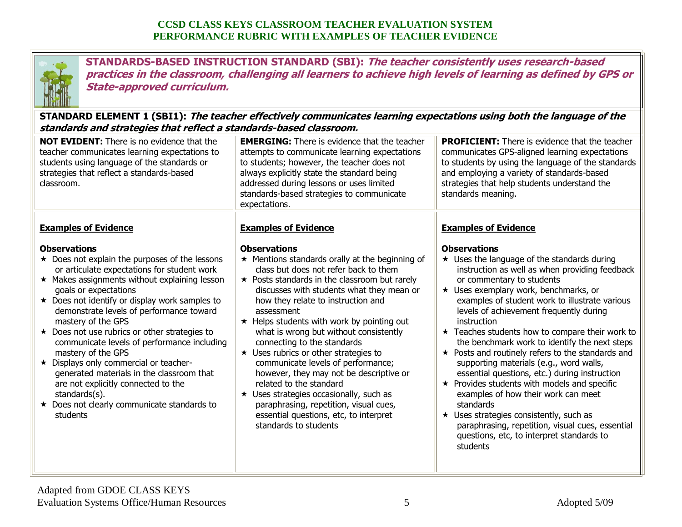

**STANDARDS-BASED INSTRUCTION STANDARD (SBI): The teacher consistently uses research-based practices in the classroom, challenging all learners to achieve high levels of learning as defined by GPS or State-approved curriculum.**

**STANDARD ELEMENT 1 (SBI1): The teacher effectively communicates learning expectations using both the language of the standards and strategies that reflect a standards-based classroom.**

| <b>NOT EVIDENT:</b> There is no evidence that the<br>teacher communicates learning expectations to<br>students using language of the standards or<br>strategies that reflect a standards-based<br>classroom.                                                                                                                                                                                                                                                                                                                                                                                                                                                                            | <b>EMERGING:</b> There is evidence that the teacher<br>attempts to communicate learning expectations<br>to students; however, the teacher does not<br>always explicitly state the standard being<br>addressed during lessons or uses limited<br>standards-based strategies to communicate<br>expectations.                                                                                                                                                                                                                                                                                                                                                                                                                                       | <b>PROFICIENT:</b> There is evidence that the teacher<br>communicates GPS-aligned learning expectations<br>to students by using the language of the standards<br>and employing a variety of standards-based<br>strategies that help students understand the<br>standards meaning.                                                                                                                                                                                                                                                                                                                                                                                                                                                                                                                                                                                                    |
|-----------------------------------------------------------------------------------------------------------------------------------------------------------------------------------------------------------------------------------------------------------------------------------------------------------------------------------------------------------------------------------------------------------------------------------------------------------------------------------------------------------------------------------------------------------------------------------------------------------------------------------------------------------------------------------------|--------------------------------------------------------------------------------------------------------------------------------------------------------------------------------------------------------------------------------------------------------------------------------------------------------------------------------------------------------------------------------------------------------------------------------------------------------------------------------------------------------------------------------------------------------------------------------------------------------------------------------------------------------------------------------------------------------------------------------------------------|--------------------------------------------------------------------------------------------------------------------------------------------------------------------------------------------------------------------------------------------------------------------------------------------------------------------------------------------------------------------------------------------------------------------------------------------------------------------------------------------------------------------------------------------------------------------------------------------------------------------------------------------------------------------------------------------------------------------------------------------------------------------------------------------------------------------------------------------------------------------------------------|
| <b>Examples of Evidence</b><br><b>Observations</b><br>$\star$ Does not explain the purposes of the lessons<br>or articulate expectations for student work<br>★ Makes assignments without explaining lesson<br>goals or expectations<br>★ Does not identify or display work samples to<br>demonstrate levels of performance toward<br>mastery of the GPS<br>★ Does not use rubrics or other strategies to<br>communicate levels of performance including<br>mastery of the GPS<br>★ Displays only commercial or teacher-<br>generated materials in the classroom that<br>are not explicitly connected to the<br>standards(s).<br>★ Does not clearly communicate standards to<br>students | <b>Examples of Evidence</b><br><b>Observations</b><br>★ Mentions standards orally at the beginning of<br>class but does not refer back to them<br>$\star$ Posts standards in the classroom but rarely<br>discusses with students what they mean or<br>how they relate to instruction and<br>assessment<br>★ Helps students with work by pointing out<br>what is wrong but without consistently<br>connecting to the standards<br>$\star$ Uses rubrics or other strategies to<br>communicate levels of performance;<br>however, they may not be descriptive or<br>related to the standard<br>★ Uses strategies occasionally, such as<br>paraphrasing, repetition, visual cues,<br>essential questions, etc, to interpret<br>standards to students | <b>Examples of Evidence</b><br><b>Observations</b><br>$\star$ Uses the language of the standards during<br>instruction as well as when providing feedback<br>or commentary to students<br>★ Uses exemplary work, benchmarks, or<br>examples of student work to illustrate various<br>levels of achievement frequently during<br>instruction<br>$\star$ Teaches students how to compare their work to<br>the benchmark work to identify the next steps<br>$\star$ Posts and routinely refers to the standards and<br>supporting materials (e.g., word walls,<br>essential questions, etc.) during instruction<br>$\star$ Provides students with models and specific<br>examples of how their work can meet<br>standards<br>$\star$ Uses strategies consistently, such as<br>paraphrasing, repetition, visual cues, essential<br>questions, etc, to interpret standards to<br>students |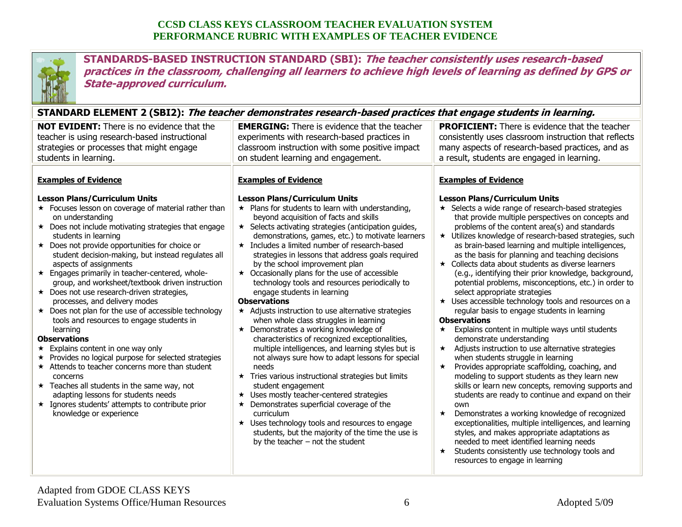

**STANDARDS-BASED INSTRUCTION STANDARD (SBI): The teacher consistently uses research-based practices in the classroom, challenging all learners to achieve high levels of learning as defined by GPS or State-approved curriculum.**

#### **STANDARD ELEMENT 2 (SBI2): The teacher demonstrates research-based practices that engage students in learning.**

|                                                                                                                                                                                                                                                                                                                                                                                                                                                                                                                                                                                                                                                                                                                                                                                                                                                                                                                                                                                                                                                                        | 31ANDAND LLLPILNT 4 (3DI4). <i>The teacher demonstrates research-based practices that engage students in rearmly.</i>                                                                                                                                                                                                                                                                                                                                                                                                                                                                                                                                                                                                                                                                                                                                                                                                                                                                                                                                                                                                                                                                                                                                                            |                                                                                                                                                                                                                                                                                                                                                                                                                                                                                                                                                                                                                                                                                                                                                                                                                                                                                                                                                                                                                                                                                                                                                                                                                                                                                                                                                                                                                                                                                       |
|------------------------------------------------------------------------------------------------------------------------------------------------------------------------------------------------------------------------------------------------------------------------------------------------------------------------------------------------------------------------------------------------------------------------------------------------------------------------------------------------------------------------------------------------------------------------------------------------------------------------------------------------------------------------------------------------------------------------------------------------------------------------------------------------------------------------------------------------------------------------------------------------------------------------------------------------------------------------------------------------------------------------------------------------------------------------|----------------------------------------------------------------------------------------------------------------------------------------------------------------------------------------------------------------------------------------------------------------------------------------------------------------------------------------------------------------------------------------------------------------------------------------------------------------------------------------------------------------------------------------------------------------------------------------------------------------------------------------------------------------------------------------------------------------------------------------------------------------------------------------------------------------------------------------------------------------------------------------------------------------------------------------------------------------------------------------------------------------------------------------------------------------------------------------------------------------------------------------------------------------------------------------------------------------------------------------------------------------------------------|---------------------------------------------------------------------------------------------------------------------------------------------------------------------------------------------------------------------------------------------------------------------------------------------------------------------------------------------------------------------------------------------------------------------------------------------------------------------------------------------------------------------------------------------------------------------------------------------------------------------------------------------------------------------------------------------------------------------------------------------------------------------------------------------------------------------------------------------------------------------------------------------------------------------------------------------------------------------------------------------------------------------------------------------------------------------------------------------------------------------------------------------------------------------------------------------------------------------------------------------------------------------------------------------------------------------------------------------------------------------------------------------------------------------------------------------------------------------------------------|
| <b>NOT EVIDENT:</b> There is no evidence that the<br>teacher is using research-based instructional<br>strategies or processes that might engage<br>students in learning.                                                                                                                                                                                                                                                                                                                                                                                                                                                                                                                                                                                                                                                                                                                                                                                                                                                                                               | <b>EMERGING:</b> There is evidence that the teacher<br>experiments with research-based practices in<br>classroom instruction with some positive impact<br>on student learning and engagement.                                                                                                                                                                                                                                                                                                                                                                                                                                                                                                                                                                                                                                                                                                                                                                                                                                                                                                                                                                                                                                                                                    | <b>PROFICIENT:</b> There is evidence that the teacher<br>consistently uses classroom instruction that reflects<br>many aspects of research-based practices, and as<br>a result, students are engaged in learning.                                                                                                                                                                                                                                                                                                                                                                                                                                                                                                                                                                                                                                                                                                                                                                                                                                                                                                                                                                                                                                                                                                                                                                                                                                                                     |
| <b>Examples of Evidence</b><br><b>Lesson Plans/Curriculum Units</b><br>★ Focuses lesson on coverage of material rather than<br>on understanding<br>$\star$ Does not include motivating strategies that engage<br>students in learning<br>★ Does not provide opportunities for choice or<br>student decision-making, but instead regulates all<br>aspects of assignments<br>★ Engages primarily in teacher-centered, whole-<br>group, and worksheet/textbook driven instruction<br>$\star$ Does not use research-driven strategies,<br>processes, and delivery modes<br>$\star$ Does not plan for the use of accessible technology<br>tools and resources to engage students in<br>learning<br><b>Observations</b><br>$\star$ Explains content in one way only<br>★ Provides no logical purpose for selected strategies<br>$\star$ Attends to teacher concerns more than student<br>concerns<br>$\star$ Teaches all students in the same way, not<br>adapting lessons for students needs<br>* Ignores students' attempts to contribute prior<br>knowledge or experience | <b>Examples of Evidence</b><br><b>Lesson Plans/Curriculum Units</b><br>$\star$ Plans for students to learn with understanding,<br>beyond acquisition of facts and skills<br>$\star$ Selects activating strategies (anticipation guides,<br>demonstrations, games, etc.) to motivate learners<br>$\star$ Includes a limited number of research-based<br>strategies in lessons that address goals required<br>by the school improvement plan<br>$\star$ Occasionally plans for the use of accessible<br>technology tools and resources periodically to<br>engage students in learning<br><b>Observations</b><br>* Adjusts instruction to use alternative strategies<br>when whole class struggles in learning<br>$\star$ Demonstrates a working knowledge of<br>characteristics of recognized exceptionalities,<br>multiple intelligences, and learning styles but is<br>not always sure how to adapt lessons for special<br>needs<br>★ Tries various instructional strategies but limits<br>student engagement<br>★ Uses mostly teacher-centered strategies<br>$\star$ Demonstrates superficial coverage of the<br>curriculum<br>$\star$ Uses technology tools and resources to engage<br>students, but the majority of the time the use is<br>by the teacher $-$ not the student | <b>Examples of Evidence</b><br><b>Lesson Plans/Curriculum Units</b><br>★ Selects a wide range of research-based strategies<br>that provide multiple perspectives on concepts and<br>problems of the content area(s) and standards<br>★ Utilizes knowledge of research-based strategies, such<br>as brain-based learning and multiple intelligences,<br>as the basis for planning and teaching decisions<br>★ Collects data about students as diverse learners<br>(e.g., identifying their prior knowledge, background,<br>potential problems, misconceptions, etc.) in order to<br>select appropriate strategies<br>★ Uses accessible technology tools and resources on a<br>regular basis to engage students in learning<br><b>Observations</b><br>Explains content in multiple ways until students<br>$\star$<br>demonstrate understanding<br>* Adjusts instruction to use alternative strategies<br>when students struggle in learning<br>Provides appropriate scaffolding, coaching, and<br>$\star$<br>modeling to support students as they learn new<br>skills or learn new concepts, removing supports and<br>students are ready to continue and expand on their<br>own<br>Demonstrates a working knowledge of recognized<br>$\star$<br>exceptionalities, multiple intelligences, and learning<br>styles, and makes appropriate adaptations as<br>needed to meet identified learning needs<br>Students consistently use technology tools and<br>resources to engage in learning |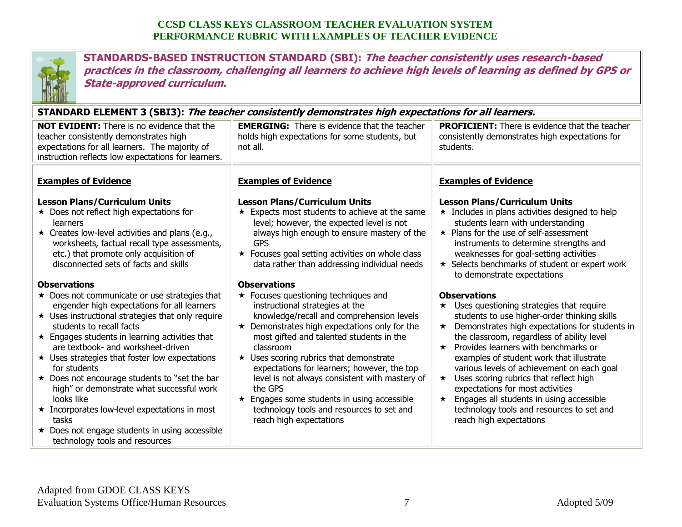

**STANDARDS-BASED INSTRUCTION STANDARD (SBI): The teacher consistently uses research-based practices in the classroom, challenging all learners to achieve high levels of learning as defined by GPS or State-approved curriculum.**

| STANDARD ELEMENT 3 (SBI3): The teacher consistently demonstrates high expectations for all learners.                                                                                                                                                                                                                                                                                                                                                                                                                                                                                                                                                                                                                                                                                                                                                                                                             |                                                                                                                                                                                                                                                                                                                                                                                                                                                                                                                                                                                                                                                                                                                                                                                                                                                                           |                                                                                                                                                                                                                                                                                                                                                                                                                                                                                                                                                                                                                                                                                                                                                                                                                                                                                                                                           |
|------------------------------------------------------------------------------------------------------------------------------------------------------------------------------------------------------------------------------------------------------------------------------------------------------------------------------------------------------------------------------------------------------------------------------------------------------------------------------------------------------------------------------------------------------------------------------------------------------------------------------------------------------------------------------------------------------------------------------------------------------------------------------------------------------------------------------------------------------------------------------------------------------------------|---------------------------------------------------------------------------------------------------------------------------------------------------------------------------------------------------------------------------------------------------------------------------------------------------------------------------------------------------------------------------------------------------------------------------------------------------------------------------------------------------------------------------------------------------------------------------------------------------------------------------------------------------------------------------------------------------------------------------------------------------------------------------------------------------------------------------------------------------------------------------|-------------------------------------------------------------------------------------------------------------------------------------------------------------------------------------------------------------------------------------------------------------------------------------------------------------------------------------------------------------------------------------------------------------------------------------------------------------------------------------------------------------------------------------------------------------------------------------------------------------------------------------------------------------------------------------------------------------------------------------------------------------------------------------------------------------------------------------------------------------------------------------------------------------------------------------------|
| <b>NOT EVIDENT:</b> There is no evidence that the<br>teacher consistently demonstrates high<br>expectations for all learners. The majority of<br>instruction reflects low expectations for learners.                                                                                                                                                                                                                                                                                                                                                                                                                                                                                                                                                                                                                                                                                                             | <b>EMERGING:</b> There is evidence that the teacher<br>holds high expectations for some students, but<br>not all.                                                                                                                                                                                                                                                                                                                                                                                                                                                                                                                                                                                                                                                                                                                                                         | <b>PROFICIENT:</b> There is evidence that the teacher<br>consistently demonstrates high expectations for<br>students.                                                                                                                                                                                                                                                                                                                                                                                                                                                                                                                                                                                                                                                                                                                                                                                                                     |
| <b>Examples of Evidence</b>                                                                                                                                                                                                                                                                                                                                                                                                                                                                                                                                                                                                                                                                                                                                                                                                                                                                                      | <b>Examples of Evidence</b>                                                                                                                                                                                                                                                                                                                                                                                                                                                                                                                                                                                                                                                                                                                                                                                                                                               | <b>Examples of Evidence</b>                                                                                                                                                                                                                                                                                                                                                                                                                                                                                                                                                                                                                                                                                                                                                                                                                                                                                                               |
| <b>Lesson Plans/Curriculum Units</b><br>$\star$ Does not reflect high expectations for<br>learners<br>$\star$ Creates low-level activities and plans (e.g.,<br>worksheets, factual recall type assessments,<br>etc.) that promote only acquisition of<br>disconnected sets of facts and skills<br><b>Observations</b><br>$\star$ Does not communicate or use strategies that<br>engender high expectations for all learners<br>$\star$ Uses instructional strategies that only require<br>students to recall facts<br>$\star$ Engages students in learning activities that<br>are textbook- and worksheet-driven<br>$\star$ Uses strategies that foster low expectations<br>for students<br>★ Does not encourage students to "set the bar<br>high" or demonstrate what successful work<br>looks like<br>* Incorporates low-level expectations in most<br>tasks<br>★ Does not engage students in using accessible | <b>Lesson Plans/Curriculum Units</b><br>$\star$ Expects most students to achieve at the same<br>level; however, the expected level is not<br>always high enough to ensure mastery of the<br><b>GPS</b><br>★ Focuses goal setting activities on whole class<br>data rather than addressing individual needs<br><b>Observations</b><br>$\star$ Focuses questioning techniques and<br>instructional strategies at the<br>knowledge/recall and comprehension levels<br>$\star$ Demonstrates high expectations only for the<br>most gifted and talented students in the<br>classroom<br>$\star$ Uses scoring rubrics that demonstrate<br>expectations for learners; however, the top<br>level is not always consistent with mastery of<br>the GPS<br>$\star$ Engages some students in using accessible<br>technology tools and resources to set and<br>reach high expectations | <b>Lesson Plans/Curriculum Units</b><br>$\star$ Includes in plans activities designed to help<br>students learn with understanding<br>$\star$ Plans for the use of self-assessment<br>instruments to determine strengths and<br>weaknesses for goal-setting activities<br>★ Selects benchmarks of student or expert work<br>to demonstrate expectations<br><b>Observations</b><br>$\star$ Uses questioning strategies that require<br>students to use higher-order thinking skills<br>Demonstrates high expectations for students in<br>the classroom, regardless of ability level<br>$\star$ Provides learners with benchmarks or<br>examples of student work that illustrate<br>various levels of achievement on each goal<br>Uses scoring rubrics that reflect high<br>$\star$<br>expectations for most activities<br>Engages all students in using accessible<br>technology tools and resources to set and<br>reach high expectations |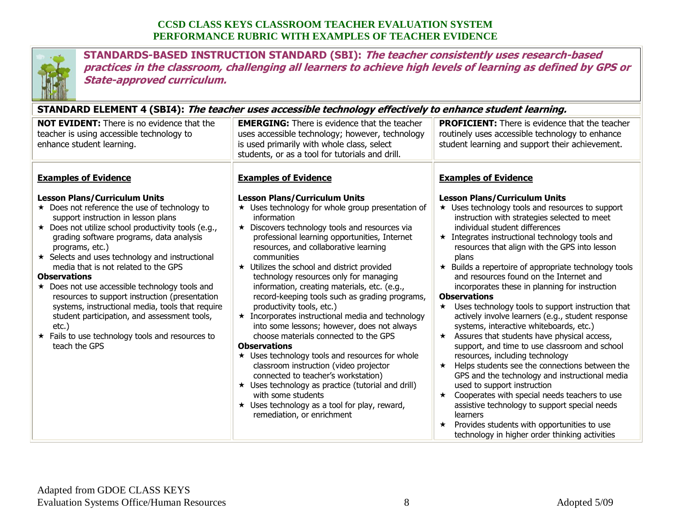

**STANDARDS-BASED INSTRUCTION STANDARD (SBI): The teacher consistently uses research-based practices in the classroom, challenging all learners to achieve high levels of learning as defined by GPS or State-approved curriculum.**

#### **STANDARD ELEMENT 4 (SBI4): The teacher uses accessible technology effectively to enhance student learning.**

| o internet certified to your, <i>the teacher ases accessible technology checuvery to emigrice statent regriming</i> ,                                                                                                                                                                                                                                                                                                                                                                                                                                                                                                                                                                        |                                                                                                                                                                                                                                                                                                                                                                                                                                                                                                                                                                                                                                                                                                                                                                                                                                                                                                                                                                                                                             |                                                                                                                                                                                                                                                                                                                                                                                                                                                                                                                                                                                                                                                                                                                                                                                                                                                                                                                                                                                                                                                                                                                                                     |
|----------------------------------------------------------------------------------------------------------------------------------------------------------------------------------------------------------------------------------------------------------------------------------------------------------------------------------------------------------------------------------------------------------------------------------------------------------------------------------------------------------------------------------------------------------------------------------------------------------------------------------------------------------------------------------------------|-----------------------------------------------------------------------------------------------------------------------------------------------------------------------------------------------------------------------------------------------------------------------------------------------------------------------------------------------------------------------------------------------------------------------------------------------------------------------------------------------------------------------------------------------------------------------------------------------------------------------------------------------------------------------------------------------------------------------------------------------------------------------------------------------------------------------------------------------------------------------------------------------------------------------------------------------------------------------------------------------------------------------------|-----------------------------------------------------------------------------------------------------------------------------------------------------------------------------------------------------------------------------------------------------------------------------------------------------------------------------------------------------------------------------------------------------------------------------------------------------------------------------------------------------------------------------------------------------------------------------------------------------------------------------------------------------------------------------------------------------------------------------------------------------------------------------------------------------------------------------------------------------------------------------------------------------------------------------------------------------------------------------------------------------------------------------------------------------------------------------------------------------------------------------------------------------|
| <b>NOT EVIDENT:</b> There is no evidence that the<br>teacher is using accessible technology to<br>enhance student learning.                                                                                                                                                                                                                                                                                                                                                                                                                                                                                                                                                                  | <b>EMERGING:</b> There is evidence that the teacher<br>uses accessible technology; however, technology<br>is used primarily with whole class, select<br>students, or as a tool for tutorials and drill.                                                                                                                                                                                                                                                                                                                                                                                                                                                                                                                                                                                                                                                                                                                                                                                                                     | <b>PROFICIENT:</b> There is evidence that the teacher<br>routinely uses accessible technology to enhance<br>student learning and support their achievement.                                                                                                                                                                                                                                                                                                                                                                                                                                                                                                                                                                                                                                                                                                                                                                                                                                                                                                                                                                                         |
| <b>Examples of Evidence</b><br><b>Lesson Plans/Curriculum Units</b><br>★ Does not reference the use of technology to<br>support instruction in lesson plans<br>★ Does not utilize school productivity tools (e.g.,<br>grading software programs, data analysis<br>programs, etc.)<br>★ Selects and uses technology and instructional<br>media that is not related to the GPS<br><b>Observations</b><br>★ Does not use accessible technology tools and<br>resources to support instruction (presentation<br>systems, instructional media, tools that require<br>student participation, and assessment tools,<br>$etc.$ )<br>* Fails to use technology tools and resources to<br>teach the GPS | <b>Examples of Evidence</b><br><b>Lesson Plans/Curriculum Units</b><br>$\star$ Uses technology for whole group presentation of<br>information<br>★ Discovers technology tools and resources via<br>professional learning opportunities, Internet<br>resources, and collaborative learning<br>communities<br>★ Utilizes the school and district provided<br>technology resources only for managing<br>information, creating materials, etc. (e.g.,<br>record-keeping tools such as grading programs,<br>productivity tools, etc.)<br>$\star$ Incorporates instructional media and technology<br>into some lessons; however, does not always<br>choose materials connected to the GPS<br><b>Observations</b><br>$\star$ Uses technology tools and resources for whole<br>classroom instruction (video projector<br>connected to teacher's workstation)<br>$\star$ Uses technology as practice (tutorial and drill)<br>with some students<br>$\star$ Uses technology as a tool for play, reward,<br>remediation, or enrichment | <b>Examples of Evidence</b><br><b>Lesson Plans/Curriculum Units</b><br>$\star$ Uses technology tools and resources to support<br>instruction with strategies selected to meet<br>individual student differences<br>$\star$ Integrates instructional technology tools and<br>resources that align with the GPS into lesson<br>plans<br>★ Builds a repertoire of appropriate technology tools<br>and resources found on the Internet and<br>incorporates these in planning for instruction<br><b>Observations</b><br>Uses technology tools to support instruction that<br>actively involve learners (e.g., student response<br>systems, interactive whiteboards, etc.)<br>Assures that students have physical access,<br>$\star$<br>support, and time to use classroom and school<br>resources, including technology<br>Helps students see the connections between the<br>$\star$<br>GPS and the technology and instructional media<br>used to support instruction<br>Cooperates with special needs teachers to use<br>$\star$<br>assistive technology to support special needs<br>learners<br>Provides students with opportunities to use<br>$\star$ |
|                                                                                                                                                                                                                                                                                                                                                                                                                                                                                                                                                                                                                                                                                              |                                                                                                                                                                                                                                                                                                                                                                                                                                                                                                                                                                                                                                                                                                                                                                                                                                                                                                                                                                                                                             | technology in higher order thinking activities                                                                                                                                                                                                                                                                                                                                                                                                                                                                                                                                                                                                                                                                                                                                                                                                                                                                                                                                                                                                                                                                                                      |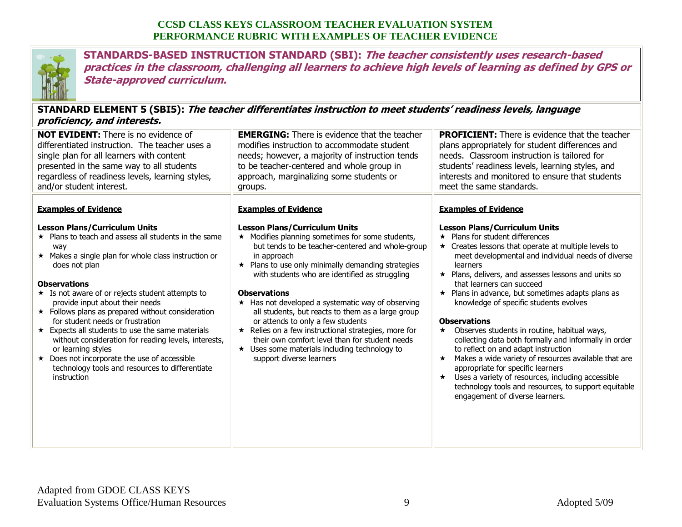

**STANDARDS-BASED INSTRUCTION STANDARD (SBI): The teacher consistently uses research-based practices in the classroom, challenging all learners to achieve high levels of learning as defined by GPS or State-approved curriculum.**

## **STANDARD ELEMENT 5 (SBI5): The teacher differentiates instruction to meet students' readiness levels, language proficiency, and interests.**

| <i>proncency, and michests.</i>                                                                                                                                                                                                                                                                                                                                                                                                                                                                                                                                                                                                                                                          |                                                                                                                                                                                                                                                                                                                                                                                                                                                                                                                                                                                                                                                                                   |                                                                                                                                                                                                                                                                                                                                                                                                                                                                                                                                                                                                                                                                                                                                                                                                                                                                               |
|------------------------------------------------------------------------------------------------------------------------------------------------------------------------------------------------------------------------------------------------------------------------------------------------------------------------------------------------------------------------------------------------------------------------------------------------------------------------------------------------------------------------------------------------------------------------------------------------------------------------------------------------------------------------------------------|-----------------------------------------------------------------------------------------------------------------------------------------------------------------------------------------------------------------------------------------------------------------------------------------------------------------------------------------------------------------------------------------------------------------------------------------------------------------------------------------------------------------------------------------------------------------------------------------------------------------------------------------------------------------------------------|-------------------------------------------------------------------------------------------------------------------------------------------------------------------------------------------------------------------------------------------------------------------------------------------------------------------------------------------------------------------------------------------------------------------------------------------------------------------------------------------------------------------------------------------------------------------------------------------------------------------------------------------------------------------------------------------------------------------------------------------------------------------------------------------------------------------------------------------------------------------------------|
| <b>NOT EVIDENT:</b> There is no evidence of<br>differentiated instruction. The teacher uses a<br>single plan for all learners with content<br>presented in the same way to all students<br>regardless of readiness levels, learning styles,<br>and/or student interest.                                                                                                                                                                                                                                                                                                                                                                                                                  | <b>EMERGING:</b> There is evidence that the teacher<br>modifies instruction to accommodate student<br>needs; however, a majority of instruction tends<br>to be teacher-centered and whole group in<br>approach, marginalizing some students or<br>groups.                                                                                                                                                                                                                                                                                                                                                                                                                         | <b>PROFICIENT:</b> There is evidence that the teacher<br>plans appropriately for student differences and<br>needs. Classroom instruction is tailored for<br>students' readiness levels, learning styles, and<br>interests and monitored to ensure that students<br>meet the same standards.                                                                                                                                                                                                                                                                                                                                                                                                                                                                                                                                                                                   |
| <b>Examples of Evidence</b><br><b>Lesson Plans/Curriculum Units</b><br>★ Plans to teach and assess all students in the same<br>way<br>* Makes a single plan for whole class instruction or<br>does not plan<br><b>Observations</b><br>$\star$ Is not aware of or rejects student attempts to<br>provide input about their needs<br>$\star$ Follows plans as prepared without consideration<br>for student needs or frustration<br>$\star$ Expects all students to use the same materials<br>without consideration for reading levels, interests,<br>or learning styles<br>★ Does not incorporate the use of accessible<br>technology tools and resources to differentiate<br>instruction | <b>Examples of Evidence</b><br><b>Lesson Plans/Curriculum Units</b><br>$\star$ Modifies planning sometimes for some students,<br>but tends to be teacher-centered and whole-group<br>in approach<br>$\star$ Plans to use only minimally demanding strategies<br>with students who are identified as struggling<br><b>Observations</b><br>★ Has not developed a systematic way of observing<br>all students, but reacts to them as a large group<br>or attends to only a few students<br>★ Relies on a few instructional strategies, more for<br>their own comfort level than for student needs<br>$\star$ Uses some materials including technology to<br>support diverse learners | <b>Examples of Evidence</b><br><b>Lesson Plans/Curriculum Units</b><br>$\star$ Plans for student differences<br>$\star$ Creates lessons that operate at multiple levels to<br>meet developmental and individual needs of diverse<br>learners<br>$\star$ Plans, delivers, and assesses lessons and units so<br>that learners can succeed<br>★ Plans in advance, but sometimes adapts plans as<br>knowledge of specific students evolves<br><b>Observations</b><br>Observes students in routine, habitual ways,<br>$\star$<br>collecting data both formally and informally in order<br>to reflect on and adapt instruction<br>Makes a wide variety of resources available that are<br>appropriate for specific learners<br>$\star$ Uses a variety of resources, including accessible<br>technology tools and resources, to support equitable<br>engagement of diverse learners. |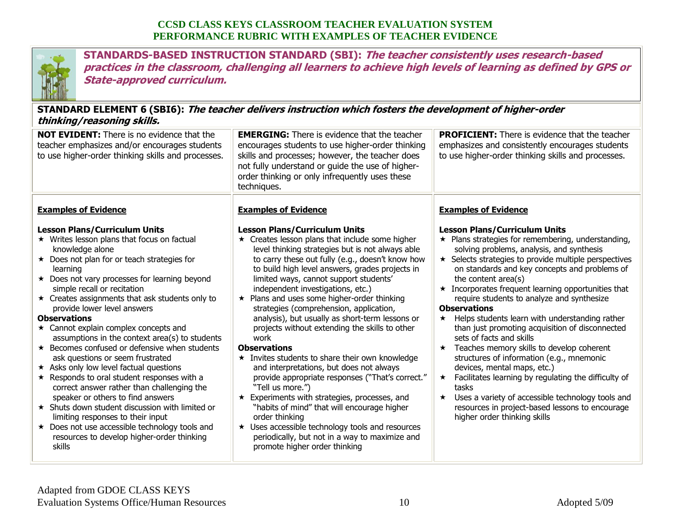

**STANDARDS-BASED INSTRUCTION STANDARD (SBI): The teacher consistently uses research-based practices in the classroom, challenging all learners to achieve high levels of learning as defined by GPS or State-approved curriculum.**

## **STANDARD ELEMENT 6 (SBI6): The teacher delivers instruction which fosters the development of higher-order thinking/reasoning skills.**

| UIIIIKIIIY/I CASVIIIIIY SKIIIS.                                                                                                                                                                                                                                                                                                                                                                                                                                                                                                                                                                                                                                                                                                                                                                                                                                                                                                                               |                                                                                                                                                                                                                                                                                                                                                                                                                                                                                                                                                                                                                                                                                                                                                                                                                                                                                                                                                                                                             |                                                                                                                                                                                                                                                                                                                                                                                                                                                                                                                                                                                                                                                                                                                                                                                                                                                                                                                                       |
|---------------------------------------------------------------------------------------------------------------------------------------------------------------------------------------------------------------------------------------------------------------------------------------------------------------------------------------------------------------------------------------------------------------------------------------------------------------------------------------------------------------------------------------------------------------------------------------------------------------------------------------------------------------------------------------------------------------------------------------------------------------------------------------------------------------------------------------------------------------------------------------------------------------------------------------------------------------|-------------------------------------------------------------------------------------------------------------------------------------------------------------------------------------------------------------------------------------------------------------------------------------------------------------------------------------------------------------------------------------------------------------------------------------------------------------------------------------------------------------------------------------------------------------------------------------------------------------------------------------------------------------------------------------------------------------------------------------------------------------------------------------------------------------------------------------------------------------------------------------------------------------------------------------------------------------------------------------------------------------|---------------------------------------------------------------------------------------------------------------------------------------------------------------------------------------------------------------------------------------------------------------------------------------------------------------------------------------------------------------------------------------------------------------------------------------------------------------------------------------------------------------------------------------------------------------------------------------------------------------------------------------------------------------------------------------------------------------------------------------------------------------------------------------------------------------------------------------------------------------------------------------------------------------------------------------|
| NOT EVIDENT: There is no evidence that the<br>teacher emphasizes and/or encourages students<br>to use higher-order thinking skills and processes.                                                                                                                                                                                                                                                                                                                                                                                                                                                                                                                                                                                                                                                                                                                                                                                                             | <b>EMERGING:</b> There is evidence that the teacher<br>encourages students to use higher-order thinking<br>skills and processes; however, the teacher does<br>not fully understand or guide the use of higher-<br>order thinking or only infrequently uses these<br>techniques.                                                                                                                                                                                                                                                                                                                                                                                                                                                                                                                                                                                                                                                                                                                             | <b>PROFICIENT:</b> There is evidence that the teacher<br>emphasizes and consistently encourages students<br>to use higher-order thinking skills and processes.                                                                                                                                                                                                                                                                                                                                                                                                                                                                                                                                                                                                                                                                                                                                                                        |
| <b>Examples of Evidence</b>                                                                                                                                                                                                                                                                                                                                                                                                                                                                                                                                                                                                                                                                                                                                                                                                                                                                                                                                   | <b>Examples of Evidence</b>                                                                                                                                                                                                                                                                                                                                                                                                                                                                                                                                                                                                                                                                                                                                                                                                                                                                                                                                                                                 | <b>Examples of Evidence</b>                                                                                                                                                                                                                                                                                                                                                                                                                                                                                                                                                                                                                                                                                                                                                                                                                                                                                                           |
| <b>Lesson Plans/Curriculum Units</b><br>★ Writes lesson plans that focus on factual<br>knowledge alone<br>$\star$ Does not plan for or teach strategies for<br>learning<br>★ Does not vary processes for learning beyond<br>simple recall or recitation<br>$\star$ Creates assignments that ask students only to<br>provide lower level answers<br><b>Observations</b><br>$\star$ Cannot explain complex concepts and<br>assumptions in the context area(s) to students<br>$\star$ Becomes confused or defensive when students<br>ask questions or seem frustrated<br>$\star$ Asks only low level factual questions<br>$\star$ Responds to oral student responses with a<br>correct answer rather than challenging the<br>speaker or others to find answers<br>★ Shuts down student discussion with limited or<br>limiting responses to their input<br>★ Does not use accessible technology tools and<br>resources to develop higher-order thinking<br>skills | <b>Lesson Plans/Curriculum Units</b><br>$\star$ Creates lesson plans that include some higher<br>level thinking strategies but is not always able<br>to carry these out fully (e.g., doesn't know how<br>to build high level answers, grades projects in<br>limited ways, cannot support students'<br>independent investigations, etc.)<br>★ Plans and uses some higher-order thinking<br>strategies (comprehension, application,<br>analysis), but usually as short-term lessons or<br>projects without extending the skills to other<br>work<br><b>Observations</b><br>* Invites students to share their own knowledge<br>and interpretations, but does not always<br>provide appropriate responses ("That's correct."<br>"Tell us more.")<br>$\star$ Experiments with strategies, processes, and<br>"habits of mind" that will encourage higher<br>order thinking<br>★ Uses accessible technology tools and resources<br>periodically, but not in a way to maximize and<br>promote higher order thinking | <b>Lesson Plans/Curriculum Units</b><br>$\star$ Plans strategies for remembering, understanding,<br>solving problems, analysis, and synthesis<br>$\star$ Selects strategies to provide multiple perspectives<br>on standards and key concepts and problems of<br>the content area(s)<br>$\star$ Incorporates frequent learning opportunities that<br>require students to analyze and synthesize<br><b>Observations</b><br>Helps students learn with understanding rather<br>$\star$<br>than just promoting acquisition of disconnected<br>sets of facts and skills<br>Teaches memory skills to develop coherent<br>$\star$<br>structures of information (e.g., mnemonic<br>devices, mental maps, etc.)<br>Facilitates learning by regulating the difficulty of<br>$\star$<br>tasks<br>Uses a variety of accessible technology tools and<br>$\star$<br>resources in project-based lessons to encourage<br>higher order thinking skills |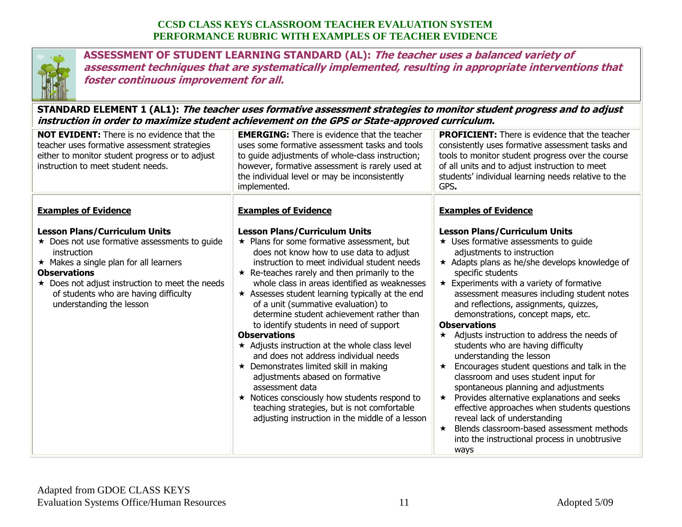

**ASSESSMENT OF STUDENT LEARNING STANDARD (AL): The teacher uses a balanced variety of assessment techniques that are systematically implemented, resulting in appropriate interventions that foster continuous improvement for all.**

#### **STANDARD ELEMENT 1 (AL1): The teacher uses formative assessment strategies to monitor student progress and to adjust instruction in order to maximize student achievement on the GPS or State-approved curriculum.**

| <b>NOT EVIDENT:</b> There is no evidence that the<br>teacher uses formative assessment strategies<br>either to monitor student progress or to adjust<br>instruction to meet student needs.                                                                                                                                               | <b>EMERGING:</b> There is evidence that the teacher<br>uses some formative assessment tasks and tools<br>to guide adjustments of whole-class instruction;<br>however, formative assessment is rarely used at<br>the individual level or may be inconsistently<br>implemented.                                                                                                                                                                                                                                                                                                                                                                                                                                                                                                                                                                                                                  | <b>PROFICIENT:</b> There is evidence that the teacher<br>consistently uses formative assessment tasks and<br>tools to monitor student progress over the course<br>of all units and to adjust instruction to meet<br>students' individual learning needs relative to the<br>GPS.                                                                                                                                                                                                                                                                                                                                                                                                                                                                                                                                                                                                                           |
|------------------------------------------------------------------------------------------------------------------------------------------------------------------------------------------------------------------------------------------------------------------------------------------------------------------------------------------|------------------------------------------------------------------------------------------------------------------------------------------------------------------------------------------------------------------------------------------------------------------------------------------------------------------------------------------------------------------------------------------------------------------------------------------------------------------------------------------------------------------------------------------------------------------------------------------------------------------------------------------------------------------------------------------------------------------------------------------------------------------------------------------------------------------------------------------------------------------------------------------------|-----------------------------------------------------------------------------------------------------------------------------------------------------------------------------------------------------------------------------------------------------------------------------------------------------------------------------------------------------------------------------------------------------------------------------------------------------------------------------------------------------------------------------------------------------------------------------------------------------------------------------------------------------------------------------------------------------------------------------------------------------------------------------------------------------------------------------------------------------------------------------------------------------------|
| <b>Examples of Evidence</b><br><b>Lesson Plans/Curriculum Units</b><br>★ Does not use formative assessments to guide<br>instruction<br>$\star$ Makes a single plan for all learners<br><b>Observations</b><br>$\star$ Does not adjust instruction to meet the needs<br>of students who are having difficulty<br>understanding the lesson | <b>Examples of Evidence</b><br><b>Lesson Plans/Curriculum Units</b><br>$\star$ Plans for some formative assessment, but<br>does not know how to use data to adjust<br>instruction to meet individual student needs<br>$\star$ Re-teaches rarely and then primarily to the<br>whole class in areas identified as weaknesses<br>$\star$ Assesses student learning typically at the end<br>of a unit (summative evaluation) to<br>determine student achievement rather than<br>to identify students in need of support<br><b>Observations</b><br>* Adjusts instruction at the whole class level<br>and does not address individual needs<br>★ Demonstrates limited skill in making<br>adjustments abased on formative<br>assessment data<br>$\star$ Notices consciously how students respond to<br>teaching strategies, but is not comfortable<br>adjusting instruction in the middle of a lesson | <b>Examples of Evidence</b><br><b>Lesson Plans/Curriculum Units</b><br>$\star$ Uses formative assessments to guide<br>adjustments to instruction<br>$\star$ Adapts plans as he/she develops knowledge of<br>specific students<br>* Experiments with a variety of formative<br>assessment measures including student notes<br>and reflections, assignments, quizzes,<br>demonstrations, concept maps, etc.<br><b>Observations</b><br>Adjusts instruction to address the needs of<br>$\star$<br>students who are having difficulty<br>understanding the lesson<br>Encourages student questions and talk in the<br>$\star$<br>classroom and uses student input for<br>spontaneous planning and adjustments<br>Provides alternative explanations and seeks<br>$\star$<br>effective approaches when students questions<br>reveal lack of understanding<br>Blends classroom-based assessment methods<br>$\star$ |
|                                                                                                                                                                                                                                                                                                                                          |                                                                                                                                                                                                                                                                                                                                                                                                                                                                                                                                                                                                                                                                                                                                                                                                                                                                                                | into the instructional process in unobtrusive<br>ways                                                                                                                                                                                                                                                                                                                                                                                                                                                                                                                                                                                                                                                                                                                                                                                                                                                     |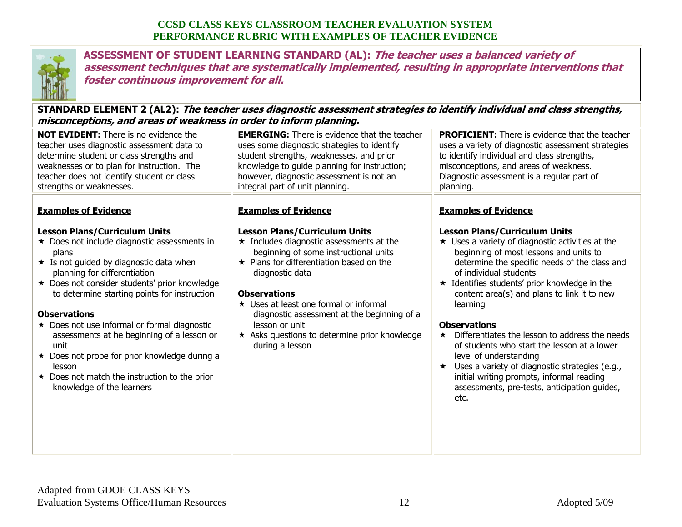

**ASSESSMENT OF STUDENT LEARNING STANDARD (AL): The teacher uses a balanced variety of assessment techniques that are systematically implemented, resulting in appropriate interventions that foster continuous improvement for all.**

#### **STANDARD ELEMENT 2 (AL2): The teacher uses diagnostic assessment strategies to identify individual and class strengths, misconceptions, and areas of weakness in order to inform planning.**

| <b>NOT EVIDENT:</b> There is no evidence the<br><b>EMERGING:</b> There is evidence that the teacher<br><b>PROFICIENT:</b> There is evidence that the teacher<br>teacher uses diagnostic assessment data to<br>uses some diagnostic strategies to identify<br>uses a variety of diagnostic assessment strategies<br>student strengths, weaknesses, and prior<br>determine student or class strengths and<br>to identify individual and class strengths,<br>weaknesses or to plan for instruction. The<br>knowledge to guide planning for instruction;<br>misconceptions, and areas of weakness.<br>teacher does not identify student or class<br>however, diagnostic assessment is not an<br>Diagnostic assessment is a regular part of<br>strengths or weaknesses.<br>integral part of unit planning.<br>planning.<br><b>Examples of Evidence</b><br><b>Examples of Evidence</b><br><b>Examples of Evidence</b><br><b>Lesson Plans/Curriculum Units</b><br><b>Lesson Plans/Curriculum Units</b><br><b>Lesson Plans/Curriculum Units</b><br>$\star$ Does not include diagnostic assessments in<br>$\star$ Includes diagnostic assessments at the<br>$\star$ Uses a variety of diagnostic activities at the<br>beginning of some instructional units<br>beginning of most lessons and units to<br>plans<br>* Is not guided by diagnostic data when<br>$\star$ Plans for differentiation based on the<br>determine the specific needs of the class and<br>of individual students<br>planning for differentiation<br>diagnostic data<br>★ Does not consider students' prior knowledge<br>* Identifies students' prior knowledge in the<br><b>Observations</b><br>to determine starting points for instruction<br>content area(s) and plans to link it to new<br>★ Uses at least one formal or informal<br>learning<br><b>Observations</b><br>diagnostic assessment at the beginning of a<br>★ Does not use informal or formal diagnostic<br><b>Observations</b><br>lesson or unit<br>* Asks questions to determine prior knowledge<br>Differentiates the lesson to address the needs<br>assessments at he beginning of a lesson or<br>$\star$<br>of students who start the lesson at a lower<br>unit<br>during a lesson<br>★ Does not probe for prior knowledge during a<br>level of understanding<br>Uses a variety of diagnostic strategies (e.g.,<br>lesson<br>$\star$<br>initial writing prompts, informal reading<br>$\star$ Does not match the instruction to the prior<br>knowledge of the learners<br>assessments, pre-tests, anticipation guides,<br>etc. | ses sep c.ss, and |  |  |  |
|----------------------------------------------------------------------------------------------------------------------------------------------------------------------------------------------------------------------------------------------------------------------------------------------------------------------------------------------------------------------------------------------------------------------------------------------------------------------------------------------------------------------------------------------------------------------------------------------------------------------------------------------------------------------------------------------------------------------------------------------------------------------------------------------------------------------------------------------------------------------------------------------------------------------------------------------------------------------------------------------------------------------------------------------------------------------------------------------------------------------------------------------------------------------------------------------------------------------------------------------------------------------------------------------------------------------------------------------------------------------------------------------------------------------------------------------------------------------------------------------------------------------------------------------------------------------------------------------------------------------------------------------------------------------------------------------------------------------------------------------------------------------------------------------------------------------------------------------------------------------------------------------------------------------------------------------------------------------------------------------------------------------------------------------------------------------------------------------------------------------------------------------------------------------------------------------------------------------------------------------------------------------------------------------------------------------------------------------------------------------------------------------------------------------------------------------------------------------------------------------------------------------------------------------------------------|-------------------|--|--|--|
|                                                                                                                                                                                                                                                                                                                                                                                                                                                                                                                                                                                                                                                                                                                                                                                                                                                                                                                                                                                                                                                                                                                                                                                                                                                                                                                                                                                                                                                                                                                                                                                                                                                                                                                                                                                                                                                                                                                                                                                                                                                                                                                                                                                                                                                                                                                                                                                                                                                                                                                                                                |                   |  |  |  |
|                                                                                                                                                                                                                                                                                                                                                                                                                                                                                                                                                                                                                                                                                                                                                                                                                                                                                                                                                                                                                                                                                                                                                                                                                                                                                                                                                                                                                                                                                                                                                                                                                                                                                                                                                                                                                                                                                                                                                                                                                                                                                                                                                                                                                                                                                                                                                                                                                                                                                                                                                                |                   |  |  |  |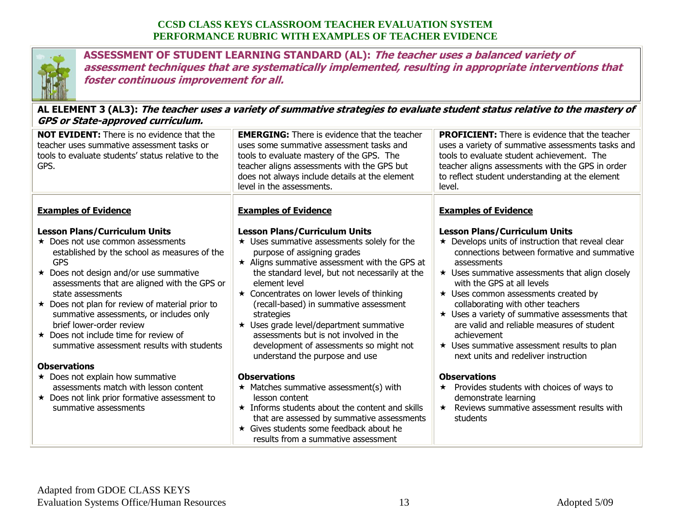

**ASSESSMENT OF STUDENT LEARNING STANDARD (AL): The teacher uses a balanced variety of assessment techniques that are systematically implemented, resulting in appropriate interventions that foster continuous improvement for all.**

**AL ELEMENT 3 (AL3): The teacher uses a variety of summative strategies to evaluate student status relative to the mastery of GPS or State-approved curriculum.**

| <b>NOT EVIDENT:</b> There is no evidence that the<br>teacher uses summative assessment tasks or<br>tools to evaluate students' status relative to the<br>GPS.                                                                                                                                                                                                                                                                                                                                                    | <b>EMERGING:</b> There is evidence that the teacher<br>uses some summative assessment tasks and<br>tools to evaluate mastery of the GPS. The<br>teacher aligns assessments with the GPS but<br>does not always include details at the element<br>level in the assessments.                                                                                                                                                                                                                                                       | <b>PROFICIENT:</b> There is evidence that the teacher<br>uses a variety of summative assessments tasks and<br>tools to evaluate student achievement. The<br>teacher aligns assessments with the GPS in order<br>to reflect student understanding at the element<br>level.                                                                                                                                                                                                                                                                                 |
|------------------------------------------------------------------------------------------------------------------------------------------------------------------------------------------------------------------------------------------------------------------------------------------------------------------------------------------------------------------------------------------------------------------------------------------------------------------------------------------------------------------|----------------------------------------------------------------------------------------------------------------------------------------------------------------------------------------------------------------------------------------------------------------------------------------------------------------------------------------------------------------------------------------------------------------------------------------------------------------------------------------------------------------------------------|-----------------------------------------------------------------------------------------------------------------------------------------------------------------------------------------------------------------------------------------------------------------------------------------------------------------------------------------------------------------------------------------------------------------------------------------------------------------------------------------------------------------------------------------------------------|
| <b>Examples of Evidence</b>                                                                                                                                                                                                                                                                                                                                                                                                                                                                                      | <b>Examples of Evidence</b>                                                                                                                                                                                                                                                                                                                                                                                                                                                                                                      | <b>Examples of Evidence</b>                                                                                                                                                                                                                                                                                                                                                                                                                                                                                                                               |
| <b>Lesson Plans/Curriculum Units</b><br>$\star$ Does not use common assessments<br>established by the school as measures of the<br><b>GPS</b><br>★ Does not design and/or use summative<br>assessments that are aligned with the GPS or<br>state assessments<br>$\star$ Does not plan for review of material prior to<br>summative assessments, or includes only<br>brief lower-order review<br>$\star$ Does not include time for review of<br>summative assessment results with students<br><b>Observations</b> | <b>Lesson Plans/Curriculum Units</b><br>$\star$ Uses summative assessments solely for the<br>purpose of assigning grades<br>$\star$ Aligns summative assessment with the GPS at<br>the standard level, but not necessarily at the<br>element level<br>$\star$ Concentrates on lower levels of thinking<br>(recall-based) in summative assessment<br>strategies<br>★ Uses grade level/department summative<br>assessments but is not involved in the<br>development of assessments so might not<br>understand the purpose and use | <b>Lesson Plans/Curriculum Units</b><br>$\star$ Develops units of instruction that reveal clear<br>connections between formative and summative<br>assessments<br>$\star$ Uses summative assessments that align closely<br>with the GPS at all levels<br>$\star$ Uses common assessments created by<br>collaborating with other teachers<br>$\star$ Uses a variety of summative assessments that<br>are valid and reliable measures of student<br>achievement<br>$\star$ Uses summative assessment results to plan<br>next units and redeliver instruction |
| ★ Does not explain how summative<br>assessments match with lesson content<br>★ Does not link prior formative assessment to<br>summative assessments                                                                                                                                                                                                                                                                                                                                                              | <b>Observations</b><br>$\star$ Matches summative assessment(s) with<br>lesson content<br>$\star$ Informs students about the content and skills<br>that are assessed by summative assessments<br>★ Gives students some feedback about he<br>results from a summative assessment                                                                                                                                                                                                                                                   | <b>Observations</b><br>Provides students with choices of ways to<br>$\star$<br>demonstrate learning<br>Reviews summative assessment results with<br>$\star$<br>students                                                                                                                                                                                                                                                                                                                                                                                   |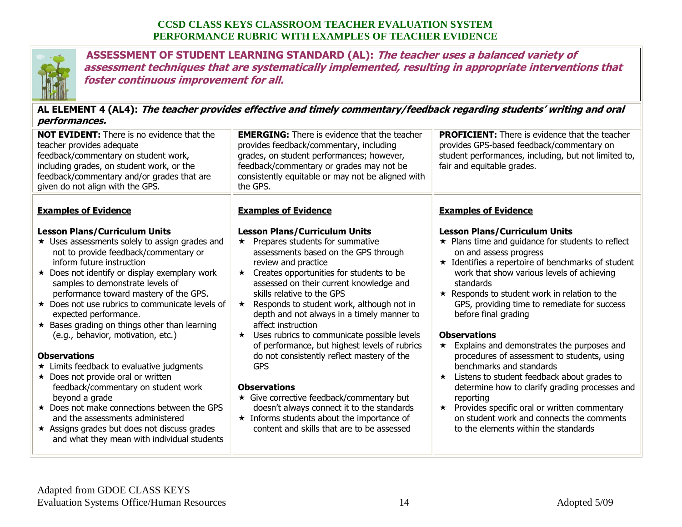

**ASSESSMENT OF STUDENT LEARNING STANDARD (AL): The teacher uses a balanced variety of assessment techniques that are systematically implemented, resulting in appropriate interventions that foster continuous improvement for all.**

**AL ELEMENT 4 (AL4): The teacher provides effective and timely commentary/feedback regarding students' writing and oral performances.**

| <b>NOT EVIDENT:</b> There is no evidence that the<br>teacher provides adequate<br>feedback/commentary on student work,<br>including grades, on student work, or the<br>feedback/commentary and/or grades that are<br>given do not align with the GPS.                                                                                                                                                                                                                                                                                                                                                                                                                                                                                                     | <b>EMERGING:</b> There is evidence that the teacher<br>provides feedback/commentary, including<br>grades, on student performances; however,<br>feedback/commentary or grades may not be<br>consistently equitable or may not be aligned with<br>the GPS.                                                                                                                                                                                                                                                                                                                                                                                                                                                                                                                                  | <b>PROFICIENT:</b> There is evidence that the teacher<br>provides GPS-based feedback/commentary on<br>student performances, including, but not limited to,<br>fair and equitable grades.                                                                                                                                                                                                                                                                                                                                                                                                                                                                                                                                                                                                                |
|-----------------------------------------------------------------------------------------------------------------------------------------------------------------------------------------------------------------------------------------------------------------------------------------------------------------------------------------------------------------------------------------------------------------------------------------------------------------------------------------------------------------------------------------------------------------------------------------------------------------------------------------------------------------------------------------------------------------------------------------------------------|-------------------------------------------------------------------------------------------------------------------------------------------------------------------------------------------------------------------------------------------------------------------------------------------------------------------------------------------------------------------------------------------------------------------------------------------------------------------------------------------------------------------------------------------------------------------------------------------------------------------------------------------------------------------------------------------------------------------------------------------------------------------------------------------|---------------------------------------------------------------------------------------------------------------------------------------------------------------------------------------------------------------------------------------------------------------------------------------------------------------------------------------------------------------------------------------------------------------------------------------------------------------------------------------------------------------------------------------------------------------------------------------------------------------------------------------------------------------------------------------------------------------------------------------------------------------------------------------------------------|
| <b>Examples of Evidence</b><br><b>Lesson Plans/Curriculum Units</b><br>★ Uses assessments solely to assign grades and<br>not to provide feedback/commentary or<br>inform future instruction<br>★ Does not identify or display exemplary work<br>samples to demonstrate levels of<br>performance toward mastery of the GPS.<br>* Does not use rubrics to communicate levels of<br>expected performance.<br>$\star$ Bases grading on things other than learning<br>(e.g., behavior, motivation, etc.)<br><b>Observations</b><br>* Limits feedback to evaluative judgments<br>★ Does not provide oral or written<br>feedback/commentary on student work<br>beyond a grade<br>★ Does not make connections between the GPS<br>and the assessments administered | <b>Examples of Evidence</b><br><b>Lesson Plans/Curriculum Units</b><br>Prepares students for summative<br>$\star$<br>assessments based on the GPS through<br>review and practice<br>Creates opportunities for students to be<br>$\star$<br>assessed on their current knowledge and<br>skills relative to the GPS<br>Responds to student work, although not in<br>$\star$<br>depth and not always in a timely manner to<br>affect instruction<br>Uses rubrics to communicate possible levels<br>$\star$<br>of performance, but highest levels of rubrics<br>do not consistently reflect mastery of the<br><b>GPS</b><br><b>Observations</b><br>★ Give corrective feedback/commentary but<br>doesn't always connect it to the standards<br>$\star$ Informs students about the importance of | <b>Examples of Evidence</b><br><b>Lesson Plans/Curriculum Units</b><br>$\star$ Plans time and guidance for students to reflect<br>on and assess progress<br>$\star$ Identifies a repertoire of benchmarks of student<br>work that show various levels of achieving<br>standards<br>$\star$ Responds to student work in relation to the<br>GPS, providing time to remediate for success<br>before final grading<br><b>Observations</b><br>Explains and demonstrates the purposes and<br>$\star$<br>procedures of assessment to students, using<br>benchmarks and standards<br>Listens to student feedback about grades to<br>$\star$<br>determine how to clarify grading processes and<br>reporting<br>$\star$ Provides specific oral or written commentary<br>on student work and connects the comments |
| * Assigns grades but does not discuss grades<br>and what they mean with individual students                                                                                                                                                                                                                                                                                                                                                                                                                                                                                                                                                                                                                                                               | content and skills that are to be assessed                                                                                                                                                                                                                                                                                                                                                                                                                                                                                                                                                                                                                                                                                                                                                | to the elements within the standards                                                                                                                                                                                                                                                                                                                                                                                                                                                                                                                                                                                                                                                                                                                                                                    |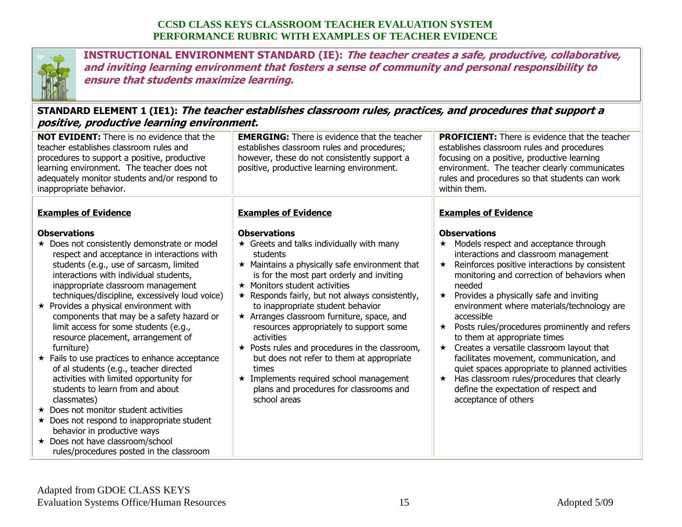

**INSTRUCTIONAL ENVIRONMENT STANDARD (IE): The teacher creates a safe, productive, collaborative, and inviting learning environment that fosters a sense of community and personal responsibility to ensure that students maximize learning.**

# **STANDARD ELEMENT 1 (IE1): The teacher establishes classroom rules, practices, and procedures that support a positive, productive learning environment.**

| <b>NOT EVIDENT:</b> There is no evidence that the<br>teacher establishes classroom rules and<br>procedures to support a positive, productive<br>learning environment. The teacher does not<br>adequately monitor students and/or respond to<br>inappropriate behavior.                                                                                                                                                                                                                                                                                                                                                     | <b>EMERGING:</b> There is evidence that the teacher<br>establishes classroom rules and procedures;<br>however, these do not consistently support a<br>positive, productive learning environment.                                                                                                                                                                                                                                                                                                                                                                                 | <b>PROFICIENT:</b> There is evidence that the teacher<br>establishes classroom rules and procedures<br>focusing on a positive, productive learning<br>environment. The teacher clearly communicates<br>rules and procedures so that students can work<br>within them.                                                                                                                                                                                                                                                                                                                                                                     |
|----------------------------------------------------------------------------------------------------------------------------------------------------------------------------------------------------------------------------------------------------------------------------------------------------------------------------------------------------------------------------------------------------------------------------------------------------------------------------------------------------------------------------------------------------------------------------------------------------------------------------|----------------------------------------------------------------------------------------------------------------------------------------------------------------------------------------------------------------------------------------------------------------------------------------------------------------------------------------------------------------------------------------------------------------------------------------------------------------------------------------------------------------------------------------------------------------------------------|-------------------------------------------------------------------------------------------------------------------------------------------------------------------------------------------------------------------------------------------------------------------------------------------------------------------------------------------------------------------------------------------------------------------------------------------------------------------------------------------------------------------------------------------------------------------------------------------------------------------------------------------|
| <b>Examples of Evidence</b><br><b>Observations</b><br>★ Does not consistently demonstrate or model<br>respect and acceptance in interactions with<br>students (e.g., use of sarcasm, limited<br>interactions with individual students,<br>inappropriate classroom management<br>techniques/discipline, excessively loud voice)<br>$\star$ Provides a physical environment with<br>components that may be a safety hazard or<br>limit access for some students (e.g.,<br>resource placement, arrangement of<br>furniture)<br>$\star$ Fails to use practices to enhance acceptance<br>of al students (e.g., teacher directed | <b>Examples of Evidence</b><br><b>Observations</b><br>$\star$ Greets and talks individually with many<br>students<br>$\star$ Maintains a physically safe environment that<br>is for the most part orderly and inviting<br>$\star$ Monitors student activities<br>★ Responds fairly, but not always consistently,<br>to inappropriate student behavior<br>$\star$ Arranges classroom furniture, space, and<br>resources appropriately to support some<br>activities<br>$\star$ Posts rules and procedures in the classroom,<br>but does not refer to them at appropriate<br>times | <b>Examples of Evidence</b><br><b>Observations</b><br>Models respect and acceptance through<br>$\star$<br>interactions and classroom management<br>Reinforces positive interactions by consistent<br>$\star$<br>monitoring and correction of behaviors when<br>needed<br>Provides a physically safe and inviting<br>$\star$<br>environment where materials/technology are<br>accessible<br>Posts rules/procedures prominently and refers<br>$\star$<br>to them at appropriate times<br>Creates a versatile classroom layout that<br>$\star$<br>facilitates movement, communication, and<br>quiet spaces appropriate to planned activities |
| activities with limited opportunity for<br>students to learn from and about<br>classmates)<br>$\star$ Does not monitor student activities<br>$\star$ Does not respond to inappropriate student<br>behavior in productive ways<br>★ Does not have classroom/school<br>rules/procedures posted in the classroom                                                                                                                                                                                                                                                                                                              | $\star$ Implements required school management<br>plans and procedures for classrooms and<br>school areas                                                                                                                                                                                                                                                                                                                                                                                                                                                                         | Has classroom rules/procedures that clearly<br>$\star$<br>define the expectation of respect and<br>acceptance of others                                                                                                                                                                                                                                                                                                                                                                                                                                                                                                                   |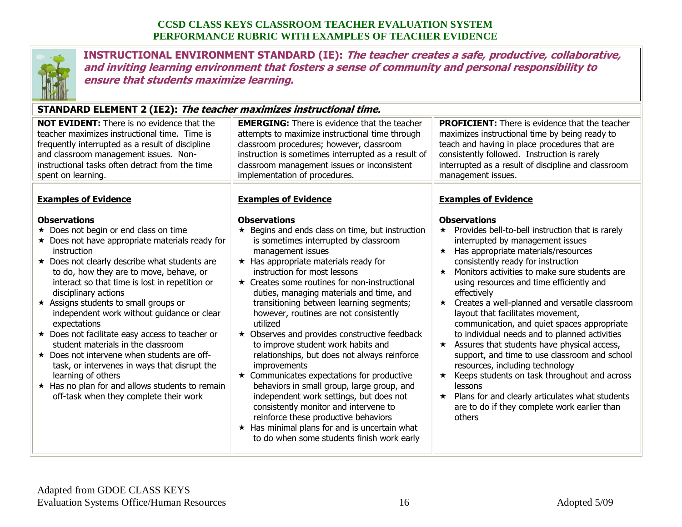

**INSTRUCTIONAL ENVIRONMENT STANDARD (IE): The teacher creates a safe, productive, collaborative, and inviting learning environment that fosters a sense of community and personal responsibility to ensure that students maximize learning.**

## **STANDARD ELEMENT 2 (IE2): The teacher maximizes instructional time.**

| <b>NOT EVIDENT:</b> There is no evidence that the                                                                                                                                                                                                                                                                                                                                                                                                                                                                                                                                                                                                                                                                                                                       | <b>EMERGING:</b> There is evidence that the teacher                                                                                                                                                                                                                                                                                                                                                                                                                                                                                                                                                                                                                                                                                                                                                                                                                                                                                          | <b>PROFICIENT:</b> There is evidence that the teacher                                                                                                                                                                                                                                                                                                                                                                                                                                                                                                                                                                                                                                                                                                                                                                                                                                                           |
|-------------------------------------------------------------------------------------------------------------------------------------------------------------------------------------------------------------------------------------------------------------------------------------------------------------------------------------------------------------------------------------------------------------------------------------------------------------------------------------------------------------------------------------------------------------------------------------------------------------------------------------------------------------------------------------------------------------------------------------------------------------------------|----------------------------------------------------------------------------------------------------------------------------------------------------------------------------------------------------------------------------------------------------------------------------------------------------------------------------------------------------------------------------------------------------------------------------------------------------------------------------------------------------------------------------------------------------------------------------------------------------------------------------------------------------------------------------------------------------------------------------------------------------------------------------------------------------------------------------------------------------------------------------------------------------------------------------------------------|-----------------------------------------------------------------------------------------------------------------------------------------------------------------------------------------------------------------------------------------------------------------------------------------------------------------------------------------------------------------------------------------------------------------------------------------------------------------------------------------------------------------------------------------------------------------------------------------------------------------------------------------------------------------------------------------------------------------------------------------------------------------------------------------------------------------------------------------------------------------------------------------------------------------|
| teacher maximizes instructional time. Time is                                                                                                                                                                                                                                                                                                                                                                                                                                                                                                                                                                                                                                                                                                                           | attempts to maximize instructional time through                                                                                                                                                                                                                                                                                                                                                                                                                                                                                                                                                                                                                                                                                                                                                                                                                                                                                              | maximizes instructional time by being ready to                                                                                                                                                                                                                                                                                                                                                                                                                                                                                                                                                                                                                                                                                                                                                                                                                                                                  |
| frequently interrupted as a result of discipline                                                                                                                                                                                                                                                                                                                                                                                                                                                                                                                                                                                                                                                                                                                        | classroom procedures; however, classroom                                                                                                                                                                                                                                                                                                                                                                                                                                                                                                                                                                                                                                                                                                                                                                                                                                                                                                     | teach and having in place procedures that are                                                                                                                                                                                                                                                                                                                                                                                                                                                                                                                                                                                                                                                                                                                                                                                                                                                                   |
| and classroom management issues. Non-                                                                                                                                                                                                                                                                                                                                                                                                                                                                                                                                                                                                                                                                                                                                   | instruction is sometimes interrupted as a result of                                                                                                                                                                                                                                                                                                                                                                                                                                                                                                                                                                                                                                                                                                                                                                                                                                                                                          | consistently followed. Instruction is rarely                                                                                                                                                                                                                                                                                                                                                                                                                                                                                                                                                                                                                                                                                                                                                                                                                                                                    |
| instructional tasks often detract from the time                                                                                                                                                                                                                                                                                                                                                                                                                                                                                                                                                                                                                                                                                                                         | classroom management issues or inconsistent                                                                                                                                                                                                                                                                                                                                                                                                                                                                                                                                                                                                                                                                                                                                                                                                                                                                                                  | interrupted as a result of discipline and classroom                                                                                                                                                                                                                                                                                                                                                                                                                                                                                                                                                                                                                                                                                                                                                                                                                                                             |
| spent on learning.                                                                                                                                                                                                                                                                                                                                                                                                                                                                                                                                                                                                                                                                                                                                                      | implementation of procedures.                                                                                                                                                                                                                                                                                                                                                                                                                                                                                                                                                                                                                                                                                                                                                                                                                                                                                                                | management issues.                                                                                                                                                                                                                                                                                                                                                                                                                                                                                                                                                                                                                                                                                                                                                                                                                                                                                              |
| <b>Examples of Evidence</b><br><b>Observations</b><br>$\star$ Does not begin or end class on time<br>$\star$ Does not have appropriate materials ready for<br>instruction<br>★ Does not clearly describe what students are<br>to do, how they are to move, behave, or<br>interact so that time is lost in repetition or<br>disciplinary actions<br>* Assigns students to small groups or<br>independent work without guidance or clear<br>expectations<br>★ Does not facilitate easy access to teacher or<br>student materials in the classroom<br>* Does not intervene when students are off-<br>task, or intervenes in ways that disrupt the<br>learning of others<br>$\star$ Has no plan for and allows students to remain<br>off-task when they complete their work | <b>Examples of Evidence</b><br><b>Observations</b><br>★ Begins and ends class on time, but instruction<br>is sometimes interrupted by classroom<br>management issues<br>$\star$ Has appropriate materials ready for<br>instruction for most lessons<br>★ Creates some routines for non-instructional<br>duties, managing materials and time, and<br>transitioning between learning segments;<br>however, routines are not consistently<br>utilized<br>★ Observes and provides constructive feedback<br>to improve student work habits and<br>relationships, but does not always reinforce<br>improvements<br>$\star$ Communicates expectations for productive<br>behaviors in small group, large group, and<br>independent work settings, but does not<br>consistently monitor and intervene to<br>reinforce these productive behaviors<br>$\star$ Has minimal plans for and is uncertain what<br>to do when some students finish work early | <b>Examples of Evidence</b><br><b>Observations</b><br>$\star$ Provides bell-to-bell instruction that is rarely<br>interrupted by management issues<br>Has appropriate materials/resources<br>$\star$<br>consistently ready for instruction<br>Monitors activities to make sure students are<br>$\star$<br>using resources and time efficiently and<br>effectively<br>Creates a well-planned and versatile classroom<br>$\star$<br>layout that facilitates movement,<br>communication, and quiet spaces appropriate<br>to individual needs and to planned activities<br>Assures that students have physical access,<br>$\star$<br>support, and time to use classroom and school<br>resources, including technology<br>Keeps students on task throughout and across<br>$\star$<br>lessons<br>Plans for and clearly articulates what students<br>$\star$<br>are to do if they complete work earlier than<br>others |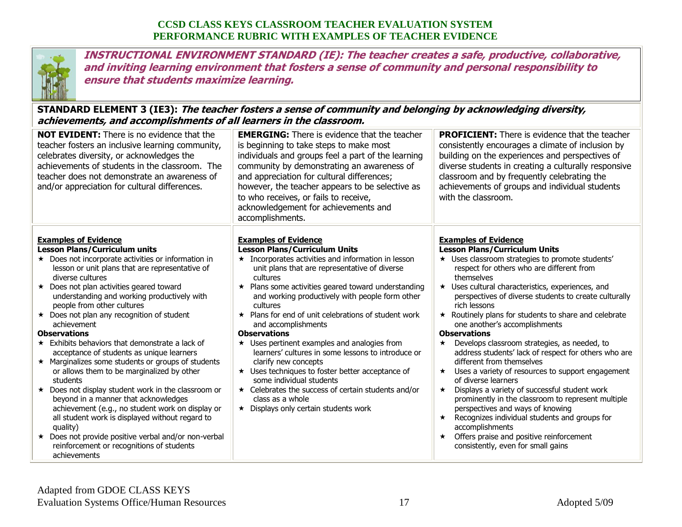

**INSTRUCTIONAL ENVIRONMENT STANDARD (IE): The teacher creates a safe, productive, collaborative, and inviting learning environment that fosters a sense of community and personal responsibility to ensure that students maximize learning.**

#### **STANDARD ELEMENT 3 (IE3): The teacher fosters a sense of community and belonging by acknowledging diversity, achievements, and accomplishments of all learners in the classroom.**

| <b>NOT EVIDENT:</b> There is no evidence that the<br>teacher fosters an inclusive learning community,<br>celebrates diversity, or acknowledges the<br>achievements of students in the classroom. The<br>teacher does not demonstrate an awareness of<br>and/or appreciation for cultural differences.                                                                                                                                                                                                                                                                                                                                                                                                                                                                                                                                                                                                                                                                                   | <b>EMERGING:</b> There is evidence that the teacher<br>is beginning to take steps to make most<br>individuals and groups feel a part of the learning<br>community by demonstrating an awareness of<br>and appreciation for cultural differences;<br>however, the teacher appears to be selective as<br>to who receives, or fails to receive,<br>acknowledgement for achievements and<br>accomplishments.                                                                                                                                                                                                                                                                                                                                                                                  | <b>PROFICIENT:</b> There is evidence that the teacher<br>consistently encourages a climate of inclusion by<br>building on the experiences and perspectives of<br>diverse students in creating a culturally responsive<br>classroom and by frequently celebrating the<br>achievements of groups and individual students<br>with the classroom.                                                                                                                                                                                                                                                                                                                                                                                                                                                                                                                                                                                                                                                                       |
|-----------------------------------------------------------------------------------------------------------------------------------------------------------------------------------------------------------------------------------------------------------------------------------------------------------------------------------------------------------------------------------------------------------------------------------------------------------------------------------------------------------------------------------------------------------------------------------------------------------------------------------------------------------------------------------------------------------------------------------------------------------------------------------------------------------------------------------------------------------------------------------------------------------------------------------------------------------------------------------------|-------------------------------------------------------------------------------------------------------------------------------------------------------------------------------------------------------------------------------------------------------------------------------------------------------------------------------------------------------------------------------------------------------------------------------------------------------------------------------------------------------------------------------------------------------------------------------------------------------------------------------------------------------------------------------------------------------------------------------------------------------------------------------------------|---------------------------------------------------------------------------------------------------------------------------------------------------------------------------------------------------------------------------------------------------------------------------------------------------------------------------------------------------------------------------------------------------------------------------------------------------------------------------------------------------------------------------------------------------------------------------------------------------------------------------------------------------------------------------------------------------------------------------------------------------------------------------------------------------------------------------------------------------------------------------------------------------------------------------------------------------------------------------------------------------------------------|
| <b>Examples of Evidence</b><br><b>Lesson Plans/Curriculum units</b><br>$\star$ Does not incorporate activities or information in<br>lesson or unit plans that are representative of<br>diverse cultures<br>★ Does not plan activities geared toward<br>understanding and working productively with<br>people from other cultures<br>★ Does not plan any recognition of student<br>achievement<br><b>Observations</b><br>$\star$ Exhibits behaviors that demonstrate a lack of<br>acceptance of students as unique learners<br>* Marginalizes some students or groups of students<br>or allows them to be marginalized by other<br>students<br>$\star$ Does not display student work in the classroom or<br>beyond in a manner that acknowledges<br>achievement (e.g., no student work on display or<br>all student work is displayed without regard to<br>quality)<br>★ Does not provide positive verbal and/or non-verbal<br>reinforcement or recognitions of students<br>achievements | <b>Examples of Evidence</b><br><b>Lesson Plans/Curriculum Units</b><br>$\star$ Incorporates activities and information in lesson<br>unit plans that are representative of diverse<br>cultures<br>Plans some activities geared toward understanding<br>$\star$<br>and working productively with people form other<br>cultures<br>Plans for end of unit celebrations of student work<br>$\star$<br>and accomplishments<br><b>Observations</b><br>$\star$ Uses pertinent examples and analogies from<br>learners' cultures in some lessons to introduce or<br>clarify new concepts<br>★ Uses techniques to foster better acceptance of<br>some individual students<br>$\star$ Celebrates the success of certain students and/or<br>class as a whole<br>★ Displays only certain students work | <b>Examples of Evidence</b><br><b>Lesson Plans/Curriculum Units</b><br>* Uses classroom strategies to promote students'<br>respect for others who are different from<br>themselves<br>★ Uses cultural characteristics, experiences, and<br>perspectives of diverse students to create culturally<br>rich lessons<br>Routinely plans for students to share and celebrate<br>$\star$<br>one another's accomplishments<br><b>Observations</b><br>Develops classroom strategies, as needed, to<br>$\star$<br>address students' lack of respect for others who are<br>different from themselves<br>Uses a variety of resources to support engagement<br>$\star$<br>of diverse learners<br>Displays a variety of successful student work<br>$\star$<br>prominently in the classroom to represent multiple<br>perspectives and ways of knowing<br>Recognizes individual students and groups for<br>$\star$<br>accomplishments<br>Offers praise and positive reinforcement<br>$\star$<br>consistently, even for small gains |